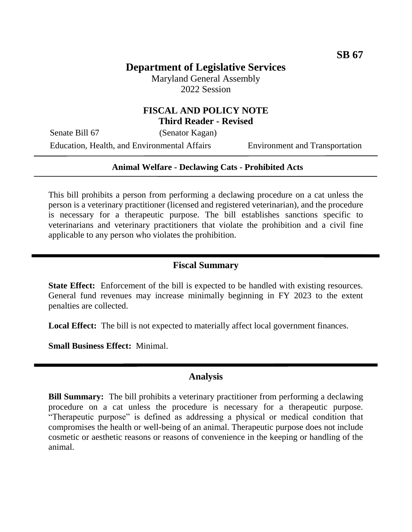# **Department of Legislative Services**

Maryland General Assembly 2022 Session

### **FISCAL AND POLICY NOTE Third Reader - Revised**

Senate Bill 67 (Senator Kagan)

Education, Health, and Environmental Affairs Environment and Transportation

#### **Animal Welfare - Declawing Cats - Prohibited Acts**

This bill prohibits a person from performing a declawing procedure on a cat unless the person is a veterinary practitioner (licensed and registered veterinarian), and the procedure is necessary for a therapeutic purpose. The bill establishes sanctions specific to veterinarians and veterinary practitioners that violate the prohibition and a civil fine applicable to any person who violates the prohibition.

### **Fiscal Summary**

**State Effect:** Enforcement of the bill is expected to be handled with existing resources. General fund revenues may increase minimally beginning in FY 2023 to the extent penalties are collected.

**Local Effect:** The bill is not expected to materially affect local government finances.

**Small Business Effect:** Minimal.

#### **Analysis**

**Bill Summary:** The bill prohibits a veterinary practitioner from performing a declawing procedure on a cat unless the procedure is necessary for a therapeutic purpose. "Therapeutic purpose" is defined as addressing a physical or medical condition that compromises the health or well-being of an animal. Therapeutic purpose does not include cosmetic or aesthetic reasons or reasons of convenience in the keeping or handling of the animal.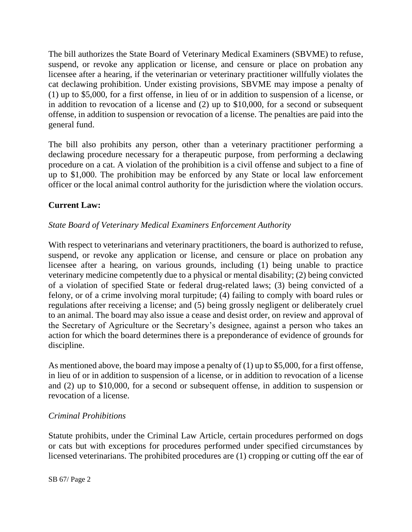The bill authorizes the State Board of Veterinary Medical Examiners (SBVME) to refuse, suspend, or revoke any application or license, and censure or place on probation any licensee after a hearing, if the veterinarian or veterinary practitioner willfully violates the cat declawing prohibition. Under existing provisions, SBVME may impose a penalty of (1) up to \$5,000, for a first offense, in lieu of or in addition to suspension of a license, or in addition to revocation of a license and (2) up to \$10,000, for a second or subsequent offense, in addition to suspension or revocation of a license. The penalties are paid into the general fund.

The bill also prohibits any person, other than a veterinary practitioner performing a declawing procedure necessary for a therapeutic purpose, from performing a declawing procedure on a cat. A violation of the prohibition is a civil offense and subject to a fine of up to \$1,000. The prohibition may be enforced by any State or local law enforcement officer or the local animal control authority for the jurisdiction where the violation occurs.

# **Current Law:**

## *State Board of Veterinary Medical Examiners Enforcement Authority*

With respect to veterinarians and veterinary practitioners, the board is authorized to refuse, suspend, or revoke any application or license, and censure or place on probation any licensee after a hearing, on various grounds, including (1) being unable to practice veterinary medicine competently due to a physical or mental disability; (2) being convicted of a violation of specified State or federal drug-related laws; (3) being convicted of a felony, or of a crime involving moral turpitude; (4) failing to comply with board rules or regulations after receiving a license; and (5) being grossly negligent or deliberately cruel to an animal. The board may also issue a cease and desist order, on review and approval of the Secretary of Agriculture or the Secretary's designee, against a person who takes an action for which the board determines there is a preponderance of evidence of grounds for discipline.

As mentioned above, the board may impose a penalty of (1) up to \$5,000, for a first offense, in lieu of or in addition to suspension of a license, or in addition to revocation of a license and (2) up to \$10,000, for a second or subsequent offense, in addition to suspension or revocation of a license.

### *Criminal Prohibitions*

Statute prohibits, under the Criminal Law Article, certain procedures performed on dogs or cats but with exceptions for procedures performed under specified circumstances by licensed veterinarians. The prohibited procedures are (1) cropping or cutting off the ear of